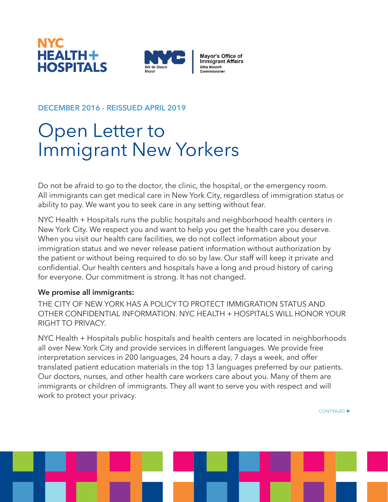



Mayor's Office of<br>Immigrant Affairs **Bitta Mostofi** Commissioner

## **DECEMBER 2016 - REISSUED APRIL 2019**

## Open Letter to Immigrant New Yorkers

Do not be afraid to go to the doctor, the clinic, the hospital, or the emergency room. All immigrants can get medical care in New York City, regardless of immigration status or ability to pay. We want you to seek care in any setting without fear.

NYC Health + Hospitals runs the public hospitals and neighborhood health centers in New York City. We respect you and want to help you get the health care you deserve. When you visit our health care facilities, we do not collect information about your immigration status and we never release patient information without authorization by the patient or without being required to do so by law. Our staff will keep it private and confidential. Our health centers and hospitals have a long and proud history of caring for everyone. Our commitment is strong. It has not changed.

## **We promise all immigrants:**

THE CITY OF NEW YORK HAS A POLICY TO PROTECT IMMIGRATION STATUS AND OTHER CONFIDENTIAL INFORMATION. NYC HEALTH + HOSPITALS WILL HONOR YOUR RIGHT TO PRIVACY.

NYC Health + Hospitals public hospitals and health centers are located in neighborhoods all over New York City and provide services in different languages. We provide free interpretation services in 200 languages, 24 hours a day, 7 days a week, and offer translated patient education materials in the top 13 languages preferred by our patients. Our doctors, nurses, and other health care workers care about you. Many of them are immigrants or children of immigrants. They all want to serve you with respect and will work to protect your privacy.

CONTINUED<sup>></sup>